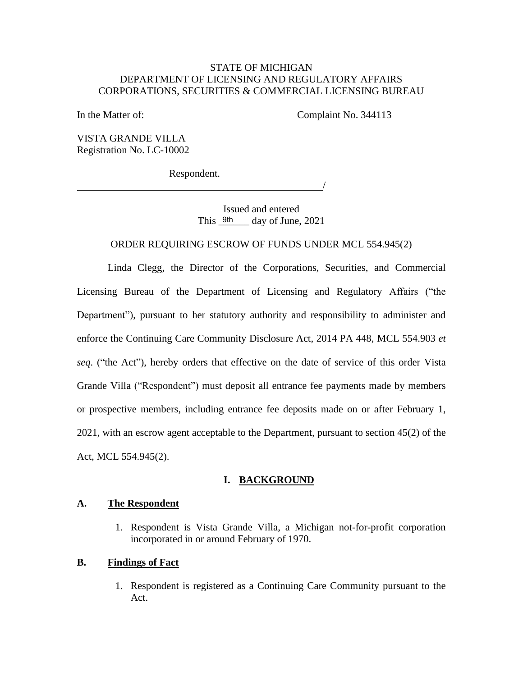### STATE OF MICHIGAN STATE OF MICHIGAN DEPARTMENT OF LICENSING AND REGULATORY AFFAIRS DEPARTMENT OF LICENSING AND REGULATORY AFFAIRS CORPORATIONS, SECURITIES & COMMERCIAL LICENSING BUREAU CORPORATIONS, SECURITIES & COMMERCIAL LICENSING BUREAU

In the Matter of: Complaint No. 344113 In the Matter of: Complaint No. 344113

VISTA GRANDE VILLA VISTA GRANDE VILLA Registration No. LC-10002 Registration No. LC-10002

Respondent. Respondent.

/ /

Issued and entered Issued and entered This  $9th$  day of June, 2021

#### ORDER REQUIRING ESCROW OF FUNDS UNDER MCL 554.945(2) ORDER REQUIRING ESCROW OF FUNDS UNDER MCL 554.945(2)

Linda Clegg, the Director of the Corporations, Securities, and Commercial Linda Clegg, the Director of the Corporations, Securities, and Commercial<br>Licensing Bureau of the Department of Licensing and Regulatory Affairs ("the Department"), pursuant to her statutory authority and responsibility to administer and enforce the Continuing Care Community Disclosure Act, 2014 PA 448, MCL 554.903 et seq. ("the Act"), hereby orders that effective on the date of service of this order Vista Grande Villa ("Respondent") must deposit all entrance fee payments made by members or prospective members, including entrance fee deposits made on or after February 1, 2021, with an escrow agent acceptable to the Department, pursuant to section 45(2) of the 2021, with an escrow agent acceptable to the Department, pursuant to section 45(2) of the Act, MCL 554.945(2). Act, MCL 554.945(2). Department"), pursuant to her statutory authority and responsibility to administer and<br>enforce the Continuing Care Community Disclosure Act, 2014 PA 448, MCL 554.903 *et*<br>seq. ("the Act"), hereby orders that effective on t This <u>9th</u><br>DER REQUIRING ESCR<br>Clegg, the Director c<br>ureau of the Departme<br>), pursuant to her statute<br>Continuing Care Commur<br>t''), hereby orders that e<br>("Respondent") must de<br>e members, including e<br>i escrow agent acceptable

# I. BACKGROUND **I. BACKGROUND**

#### A. The Respondent **A. The Respondent**

1. Respondent is Vista Grande Villa, a Michigan not-for-profit corporation 1. Respondent is Vista Grande Villa, a Michigan not-for-profit corporation incorporated in or around February of 1970. incorporated in or around February of 1970.

#### B. Findings of Fact **B. Findings of Fact**

1. Respondent is registered as a Continuing Care Community pursuant to the 1. Respondent is registered as a Continuing Care Community pursuant to the Act.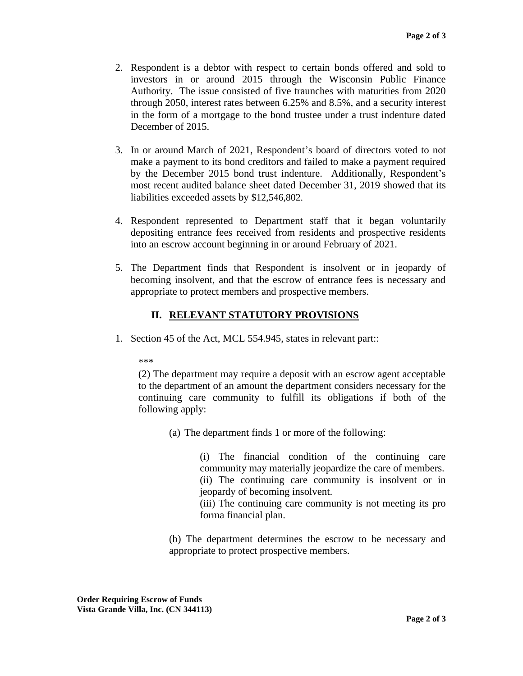- 2. Respondent is a debtor with respect to certain bonds offered and sold to 2. Respondent is a debtor with respect to certain bonds offered and sold to investors in or around 2015 through the Wisconsin Public Finance Authority. The issue consisted of five traunches with maturities from 2020 through 2050, interest rates between 6.25% and 8.5%, and a security interest in the form of a mortgage to the bond trustee under a trust indenture dated December of 2015. December of 2015. investors in or around 2015 through the Wisconsin Public Finance<br>Authority. The issue consisted of five traunches with maturities from 2020<br>through 2050, interest rates between 6.25% and 8.5%, and a security interest<br>in th
- 3. In or around March of 2021, Respondent's board of directors voted to not make a payment to its bond creditors and failed to make a payment required by the December 2015 bond trust indenture. Additionally, Respondent's most recent audited balance sheet dated December 31, 2019 showed that its most recent audited balance sheet dated December 31, 2019 showed that its liabilities exceeded assets by \$12,546,802. liabilities exceeded assets by \$12,546,802. 3. In or around March of 2021, Respondent's board of directors voted to not make a payment to its bond creditors and failed to make a payment required by the December 2015 bond trust indenture. Additionally, Respondent's
- 4. Respondent represented to Department staff that it began voluntarily 4. Respondent represented to Department staff that it began voluntarily depositing entrance fees received from residents and prospective residents depositing entrance fees received from residents and prospective residents into an escrow account beginning in or around February of 2021.
- into an escrow account beginning in or around February of 2021.<br>5. The Department finds that Respondent is insolvent or in jeopardy of becoming insolvent, and that the escrow of entrance fees is necessary and becoming insolvent, and that the escrow of entrance fees is necessary and appropriate to protect members and prospective members. appropriate to protect members and prospective members.

# II. RELEVANT STATUTORY PROVISIONS  **II. RELEVANT STATUTORY PROVISIONS**

1. Section 45 of the Act, MCL 554.945, states in relevant part:: 1. Section 45 of the Act, MCL 554.945, states in relevant part::

\*\*\* \*\*\*

(2) The department may require a deposit with an escrow agent acceptable to the department of an amount the department considers necessary for the continuing care community to fulfill its obligations if both of the following apply: (2) The department may require a deposit with an escrow agent acceptable<br>to the department of an amount the department considers necessary for the<br>continuing care community to fulfill its obligations if both of the<br>followi

(a) The department finds 1 or more of the following: (a) The department finds 1 or more of the following:

(i) The financial condition of the continuing care community may materially jeopardize the care of members. (i) The financial condition of the continuing care community may materially jeopardize the care of members. (ii) The continuing care community is insolvent or in jeopardy of becoming insolvent. jeopardy of becoming insolvent.

(iii) The continuing care community is not meeting its pro (iii) The continuing care community is not meeting its pro forma financial plan. forma financial plan.

(b) The department determines the escrow to be necessary and (b) The department determines the escrow to be necessary and appropriate to protect prospective members. appropriate to protect prospective members.